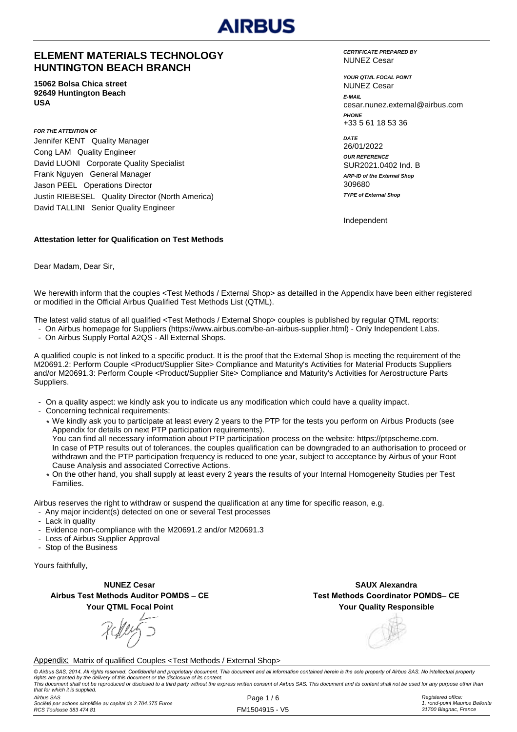

### **ELEMENT MATERIALS TECHNOLOGY HUNTINGTON BEACH BRANCH**

**15062 Bolsa Chica street 92649 Huntington Beach USA**

*FOR THE ATTENTION OF* Jennifer KENT Quality Manager Cong LAM Quality Engineer David LUONI Corporate Quality Specialist Frank Nguyen General Manager Jason PEEL Operations Director Justin RIEBESEL Quality Director (North America) David TALLINI Senior Quality Engineer

*CERTIFICATE PREPARED BY* NUNEZ Cesar

*YOUR QTML FOCAL POINT E-MAIL* cesar.nunez.external@airbus.com *PHONE* +33 5 61 18 53 36 NUNEZ Cesar

*ARP-ID of the External Shop DATE* 26/01/2022 *OUR REFERENCE* SUR2021.0402 Ind. B 309680 *TYPE of External Shop*

Independent

#### **Attestation letter for Qualification on Test Methods**

Dear Madam, Dear Sir,

We herewith inform that the couples <Test Methods / External Shop> as detailled in the Appendix have been either registered or modified in the Official Airbus Qualified Test Methods List (QTML).

The latest valid status of all qualified <Test Methods / External Shop> couples is published by regular QTML reports:

- On Airbus homepage for Suppliers (https://www.airbus.com/be-an-airbus-supplier.html) Only Independent Labs.
- On Airbus Supply Portal A2QS All External Shops.

A qualified couple is not linked to a specific product. It is the proof that the External Shop is meeting the requirement of the M20691.2: Perform Couple <Product/Supplier Site> Compliance and Maturity's Activities for Material Products Suppliers and/or M20691.3: Perform Couple <Product/Supplier Site> Compliance and Maturity's Activities for Aerostructure Parts Suppliers.

- On a quality aspect: we kindly ask you to indicate us any modification which could have a quality impact.
- Concerning technical requirements:
	- \* We kindly ask you to participate at least every 2 years to the PTP for the tests you perform on Airbus Products (see Appendix for details on next PTP participation requirements). You can find all necessary information about PTP participation process on the website: https://ptpscheme.com. In case of PTP results out of tolerances, the couples qualification can be downgraded to an authorisation to proceed or withdrawn and the PTP participation frequency is reduced to one year, subject to acceptance by Airbus of your Root Cause Analysis and associated Corrective Actions.
	- \* On the other hand, you shall supply at least every 2 years the results of your Internal Homogeneity Studies per Test Families.

Airbus reserves the right to withdraw or suspend the qualification at any time for specific reason, e.g.

- Any major incident(s) detected on one or several Test processes
- Lack in quality
- Evidence non-compliance with the M20691.2 and/or M20691.3
- Loss of Airbus Supplier Approval
- Stop of the Business

Yours faithfully,

**NUNEZ Cesar**

**Airbus Test Methods Auditor POMDS – CE Your QTML Focal Point**

**Your Quality Responsible SAUX Alexandra Test Methods Coordinator POMDS– CE**

### Appendix: Matrix of qualified Couples <Test Methods / External Shop>

© Airbus SAS, 2014. All rights reserved. Confidential and proprietary document. This document and all information contained herein is the sole property of Airbus SAS. No intellectual property rights are granted by the delivery of this document or the disclosure of its content.<br>This document shall not be reproduced or disclosed to a third party without the express written consent of Airbus SAS. This document and *that for which it is supplied.*

*Airbus SAS Société par actions simplifiée au capital de 2.704.375 Euros RCS Toulouse 383 474 81*

Page 1 / 6 FM1504915 - V5 *Registered office: 1, rond-point Maurice Bellonte 31700 Blagnac, France*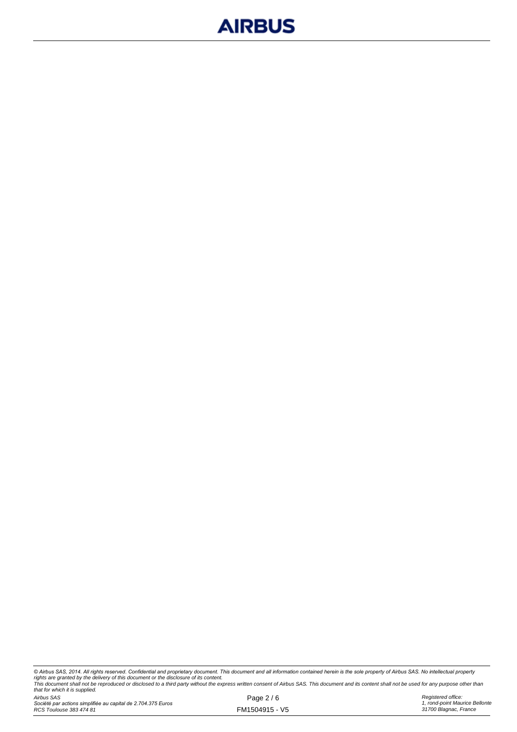## **AIRBUS** Appendix: Matrix of qualified Couples <Test Methods / External Shop>

© Airbus SAS, 2014. All rights reserved. Confidential and proprietary document. This document and all information contained herein is the sole property of Airbus SAS. No intellectual property<br>This document shall not be rep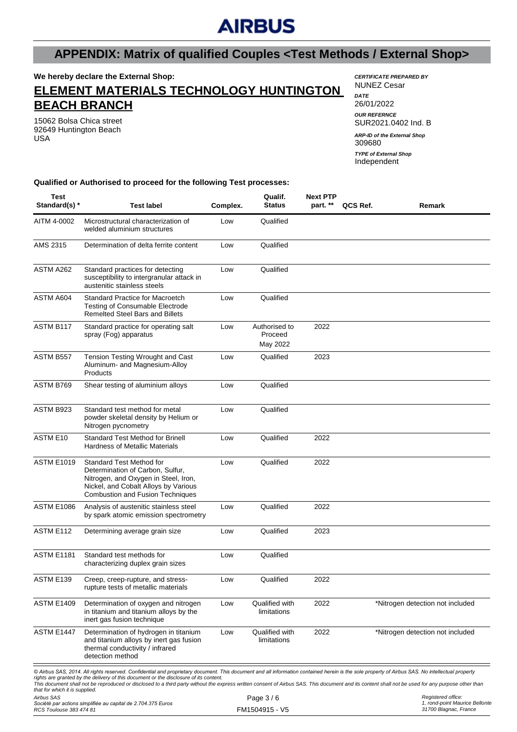## **APPENDIX: Matrix of qualified Couples <Test Methods / External Shop>**

**We hereby declare the External Shop:**

## **ELEMENT MATERIALS TECHNOLOGY HUNTINGTON BEACH BRANCH**

15062 Bolsa Chica street 92649 Huntington Beach USA

*CERTIFICATE PREPARED BY* NUNEZ Cesar *DATE* 26/01/2022 *OUR REFERNCE* SUR2021.0402 Ind. B 309680 *ARP-ID of the External Shop*

Independent *TYPE of External Shop*

**Qualified or Authorised to proceed for the following Test processes:**

| <b>Test</b><br>Standard(s) *                 | <b>Test label</b>                                                                                                                                                                                                                                                                                                                                                                                                                                                                             | Complex. | Qualif.<br><b>Status</b>             | <b>Next PTP</b><br>part. ** | QCS Ref. | Remark                           |
|----------------------------------------------|-----------------------------------------------------------------------------------------------------------------------------------------------------------------------------------------------------------------------------------------------------------------------------------------------------------------------------------------------------------------------------------------------------------------------------------------------------------------------------------------------|----------|--------------------------------------|-----------------------------|----------|----------------------------------|
| AITM 4-0002                                  | Microstructural characterization of<br>welded aluminium structures                                                                                                                                                                                                                                                                                                                                                                                                                            | Low      | Qualified                            |                             |          |                                  |
| AMS 2315                                     | Determination of delta ferrite content                                                                                                                                                                                                                                                                                                                                                                                                                                                        | Low      | Qualified                            |                             |          |                                  |
| ASTM A262                                    | Standard practices for detecting<br>susceptibility to intergranular attack in<br>austenitic stainless steels                                                                                                                                                                                                                                                                                                                                                                                  | Low      | Qualified                            |                             |          |                                  |
| ASTM A604                                    | <b>Standard Practice for Macroetch</b><br><b>Testing of Consumable Electrode</b><br><b>Remelted Steel Bars and Billets</b>                                                                                                                                                                                                                                                                                                                                                                    | Low      | Qualified                            |                             |          |                                  |
| ASTM B117                                    | Standard practice for operating salt<br>spray (Fog) apparatus                                                                                                                                                                                                                                                                                                                                                                                                                                 | Low      | Authorised to<br>Proceed<br>May 2022 | 2022                        |          |                                  |
| ASTM B557                                    | Tension Testing Wrought and Cast<br>Aluminum- and Magnesium-Alloy<br>Products                                                                                                                                                                                                                                                                                                                                                                                                                 | Low      | Qualified                            | 2023                        |          |                                  |
| ASTM B769                                    | Shear testing of aluminium alloys                                                                                                                                                                                                                                                                                                                                                                                                                                                             | Low      | Qualified                            |                             |          |                                  |
| ASTM B923                                    | Standard test method for metal<br>powder skeletal density by Helium or<br>Nitrogen pycnometry                                                                                                                                                                                                                                                                                                                                                                                                 | Low      | Qualified                            |                             |          |                                  |
| ASTM E10                                     | <b>Standard Test Method for Brinell</b><br>Hardness of Metallic Materials                                                                                                                                                                                                                                                                                                                                                                                                                     | Low      | Qualified                            | 2022                        |          |                                  |
| <b>ASTM E1019</b>                            | <b>Standard Test Method for</b><br>Determination of Carbon, Sulfur,<br>Nitrogen, and Oxygen in Steel, Iron,<br>Nickel, and Cobalt Alloys by Various<br><b>Combustion and Fusion Techniques</b>                                                                                                                                                                                                                                                                                                | Low      | Qualified                            | 2022                        |          |                                  |
| <b>ASTM E1086</b>                            | Analysis of austenitic stainless steel<br>by spark atomic emission spectrometry                                                                                                                                                                                                                                                                                                                                                                                                               | Low      | Qualified                            | 2022                        |          |                                  |
| ASTM E112                                    | Determining average grain size                                                                                                                                                                                                                                                                                                                                                                                                                                                                | Low      | Qualified                            | 2023                        |          |                                  |
| <b>ASTM E1181</b>                            | Standard test methods for<br>characterizing duplex grain sizes                                                                                                                                                                                                                                                                                                                                                                                                                                | Low      | Qualified                            |                             |          |                                  |
| ASTM E139                                    | Creep, creep-rupture, and stress-<br>rupture tests of metallic materials                                                                                                                                                                                                                                                                                                                                                                                                                      | Low      | Qualified                            | 2022                        |          |                                  |
| <b>ASTM E1409</b>                            | Determination of oxygen and nitrogen<br>in titanium and titanium alloys by the<br>inert gas fusion technique                                                                                                                                                                                                                                                                                                                                                                                  | Low      | Qualified with<br>limitations        | 2022                        |          | *Nitrogen detection not included |
| <b>ASTM E1447</b>                            | Determination of hydrogen in titanium<br>and titanium alloys by inert gas fusion<br>thermal conductivity / infrared<br>detection method                                                                                                                                                                                                                                                                                                                                                       | Low      | Qualified with<br>limitations        | 2022                        |          | *Nitrogen detection not included |
|                                              | © Airbus SAS, 2014. All rights reserved. Confidential and proprietary document. This document and all information contained herein is the sole property of Airbus SAS. No intellectual property<br>rights are granted by the delivery of this document or the disclosure of its content.<br>This document shall not be reproduced or disclosed to a third party without the express written consent of Airbus SAS. This document and its content shall not be used for any purpose other than |          |                                      |                             |          |                                  |
| that for which it is supplied.<br>Airbus SAS |                                                                                                                                                                                                                                                                                                                                                                                                                                                                                               |          | Page $3/6$                           |                             |          | Registered office:               |

*Société par actions simplifiée au capital de 2.704.375 Euros RCS Toulouse 383 474 81*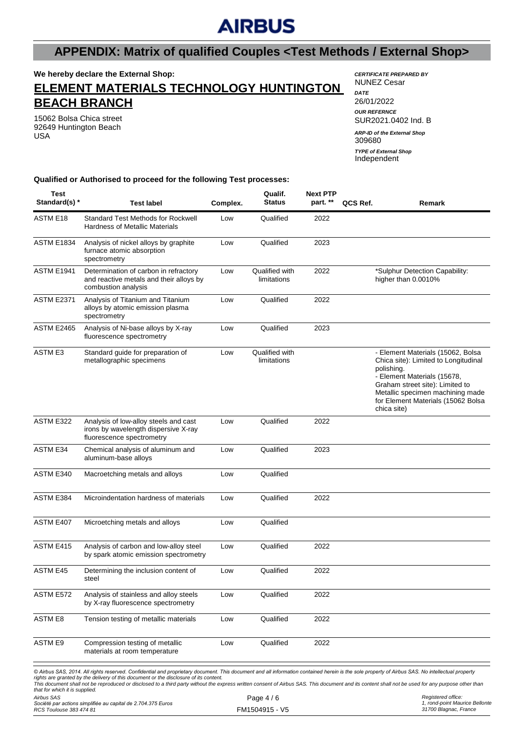## **APPENDIX: Matrix of qualified Couples <Test Methods / External Shop>**

**We hereby declare the External Shop:**

**ELEMENT MATERIALS TECHNOLOGY HUNTINGTON** 

## **BEACH BRANCH**

15062 Bolsa Chica street 92649 Huntington Beach USA

#### *CERTIFICATE PREPARED BY* NUNEZ Cesar

*DATE* 26/01/2022 *OUR REFERNCE* SUR2021.0402 Ind. B *ARP-ID of the External Shop*

309680 Independent *TYPE of External Shop*

### **Qualified or Authorised to proceed for the following Test processes:**

| <b>Test label</b>                                                                                          | Complex. | Qualif.<br><b>Status</b>      | <b>Next PTP</b><br>part. ** | QCS Ref. | Remark                                                                                                                                                                                                                                             |
|------------------------------------------------------------------------------------------------------------|----------|-------------------------------|-----------------------------|----------|----------------------------------------------------------------------------------------------------------------------------------------------------------------------------------------------------------------------------------------------------|
| <b>Standard Test Methods for Rockwell</b><br><b>Hardness of Metallic Materials</b>                         | Low      | Qualified                     | 2022                        |          |                                                                                                                                                                                                                                                    |
| Analysis of nickel alloys by graphite<br>furnace atomic absorption<br>spectrometry                         | Low      | Qualified                     | 2023                        |          |                                                                                                                                                                                                                                                    |
| Determination of carbon in refractory<br>and reactive metals and their alloys by<br>combustion analysis    | Low      | Qualified with<br>limitations | 2022                        |          | *Sulphur Detection Capability:<br>higher than 0.0010%                                                                                                                                                                                              |
| Analysis of Titanium and Titanium<br>alloys by atomic emission plasma<br>spectrometry                      | Low      | Qualified                     | 2022                        |          |                                                                                                                                                                                                                                                    |
| Analysis of Ni-base alloys by X-ray<br>fluorescence spectrometry                                           | Low      | Qualified                     | 2023                        |          |                                                                                                                                                                                                                                                    |
| Standard guide for preparation of<br>metallographic specimens                                              | Low      | Qualified with<br>limitations |                             |          | - Element Materials (15062, Bolsa<br>Chica site): Limited to Longitudinal<br>polishing.<br>- Element Materials (15678,<br>Graham street site): Limited to<br>Metallic specimen machining made<br>for Element Materials (15062 Bolsa<br>chica site) |
| Analysis of low-alloy steels and cast<br>irons by wavelength dispersive X-ray<br>fluorescence spectrometry | Low      | Qualified                     | 2022                        |          |                                                                                                                                                                                                                                                    |
| Chemical analysis of aluminum and<br>aluminum-base alloys                                                  | Low      | Qualified                     | 2023                        |          |                                                                                                                                                                                                                                                    |
| Macroetching metals and alloys                                                                             | Low      | Qualified                     |                             |          |                                                                                                                                                                                                                                                    |
| Microindentation hardness of materials                                                                     | Low      | Qualified                     | 2022                        |          |                                                                                                                                                                                                                                                    |
| Microetching metals and alloys                                                                             | Low      | Qualified                     |                             |          |                                                                                                                                                                                                                                                    |
| Analysis of carbon and low-alloy steel<br>by spark atomic emission spectrometry                            | Low      | Qualified                     | 2022                        |          |                                                                                                                                                                                                                                                    |
| Determining the inclusion content of<br>steel                                                              | Low      | Qualified                     | 2022                        |          |                                                                                                                                                                                                                                                    |
| Analysis of stainless and alloy steels<br>by X-ray fluorescence spectrometry                               | Low      | Qualified                     | 2022                        |          |                                                                                                                                                                                                                                                    |
| Tension testing of metallic materials                                                                      | Low      | Qualified                     | 2022                        |          |                                                                                                                                                                                                                                                    |
| Compression testing of metallic<br>materials at room temperature                                           | Low      | Qualified                     | 2022                        |          |                                                                                                                                                                                                                                                    |
|                                                                                                            |          |                               |                             |          |                                                                                                                                                                                                                                                    |

rights are granted by the delivery of this document or the disclosure of its content.<br>This document shall not be reproduced or disclosed to a third party without the express written consent of Airbus SAS. This document and *that for which it is supplied.*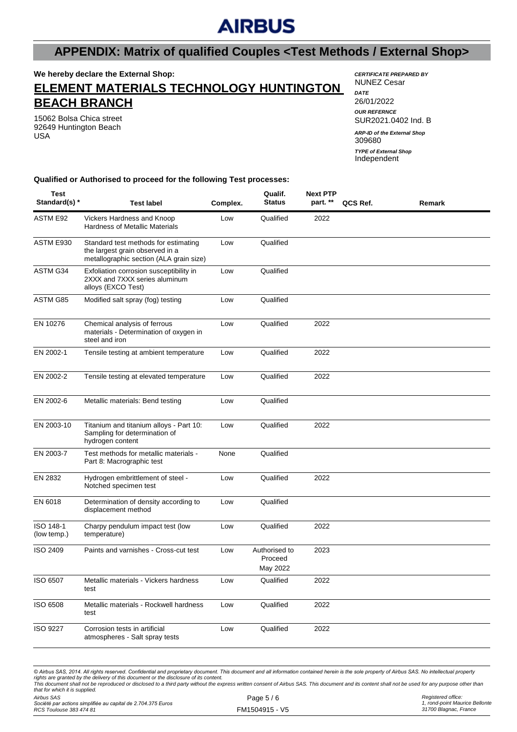## **APPENDIX: Matrix of qualified Couples <Test Methods / External Shop>**

**We hereby declare the External Shop:**

**ELEMENT MATERIALS TECHNOLOGY HUNTINGTON** 

## **BEACH BRANCH**

15062 Bolsa Chica street 92649 Huntington Beach USA

#### *CERTIFICATE PREPARED BY* NUNEZ Cesar

*DATE* 26/01/2022 *OUR REFERNCE* SUR2021.0402 Ind. B

309680 Independent *ARP-ID of the External Shop TYPE of External Shop*

### **Qualified or Authorised to proceed for the following Test processes:**

| <b>Test</b><br>Standard(s) * | <b>Test label</b>                                                                                                  | Complex. | Qualif.<br><b>Status</b>             | <b>Next PTP</b><br>part. ** | QCS Ref. | Remark |
|------------------------------|--------------------------------------------------------------------------------------------------------------------|----------|--------------------------------------|-----------------------------|----------|--------|
| ASTM E92                     | Vickers Hardness and Knoop<br><b>Hardness of Metallic Materials</b>                                                | Low      | Qualified                            | 2022                        |          |        |
| ASTM E930                    | Standard test methods for estimating<br>the largest grain observed in a<br>metallographic section (ALA grain size) | Low      | Qualified                            |                             |          |        |
| ASTM G34                     | Exfoliation corrosion susceptibility in<br>2XXX and 7XXX series aluminum<br>alloys (EXCO Test)                     | Low      | Qualified                            |                             |          |        |
| ASTM G85                     | Modified salt spray (fog) testing                                                                                  | Low      | Qualified                            |                             |          |        |
| EN 10276                     | Chemical analysis of ferrous<br>materials - Determination of oxygen in<br>steel and iron                           | Low      | Qualified                            | 2022                        |          |        |
| EN 2002-1                    | Tensile testing at ambient temperature                                                                             | Low      | Qualified                            | 2022                        |          |        |
| EN 2002-2                    | Tensile testing at elevated temperature                                                                            | Low      | Qualified                            | 2022                        |          |        |
| EN 2002-6                    | Metallic materials: Bend testing                                                                                   | Low      | Qualified                            |                             |          |        |
| EN 2003-10                   | Titanium and titanium alloys - Part 10:<br>Sampling for determination of<br>hydrogen content                       | Low      | Qualified                            | 2022                        |          |        |
| EN 2003-7                    | Test methods for metallic materials -<br>Part 8: Macrographic test                                                 | None     | Qualified                            |                             |          |        |
| EN 2832                      | Hydrogen embrittlement of steel -<br>Notched specimen test                                                         | Low      | Qualified                            | 2022                        |          |        |
| EN 6018                      | Determination of density according to<br>displacement method                                                       | Low      | Qualified                            |                             |          |        |
| ISO 148-1<br>(low temp.)     | Charpy pendulum impact test (low<br>temperature)                                                                   | Low      | Qualified                            | 2022                        |          |        |
| ISO 2409                     | Paints and varnishes - Cross-cut test                                                                              | Low      | Authorised to<br>Proceed<br>May 2022 | 2023                        |          |        |
| ISO 6507                     | Metallic materials - Vickers hardness<br>test                                                                      | Low      | Qualified                            | 2022                        |          |        |
| ISO 6508                     | Metallic materials - Rockwell hardness<br>test                                                                     | Low      | Qualified                            | 2022                        |          |        |
| <b>ISO 9227</b>              | Corrosion tests in artificial<br>atmospheres - Salt spray tests                                                    | Low      | Qualified                            | 2022                        |          |        |

*© Airbus SAS, 2014. All rights reserved. Confidential and proprietary document. This document and all information contained herein is the sole property of Airbus SAS. No intellectual property*  rights are granted by the delivery of this document or the disclosure of its content.<br>This document shall not be reproduced or disclosed to a third party without the express written consent of Airbus SAS. This document and *that for which it is supplied.*